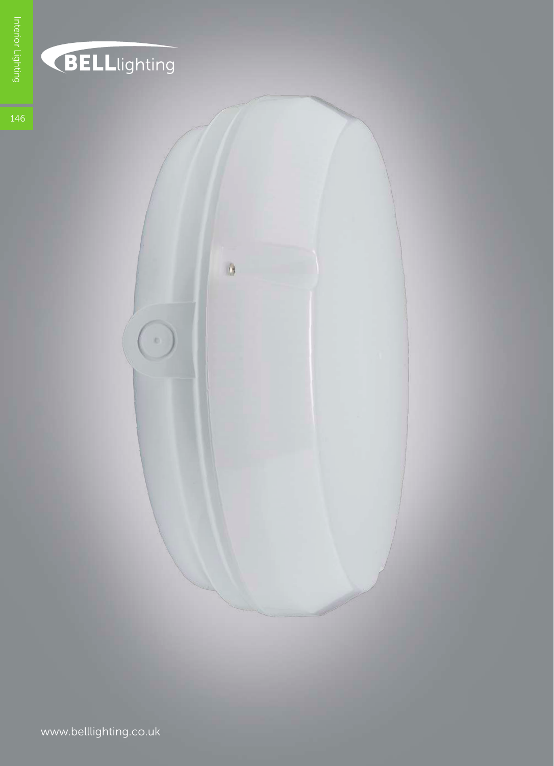

## BELLlighting

 $\circ$ 

 $\theta$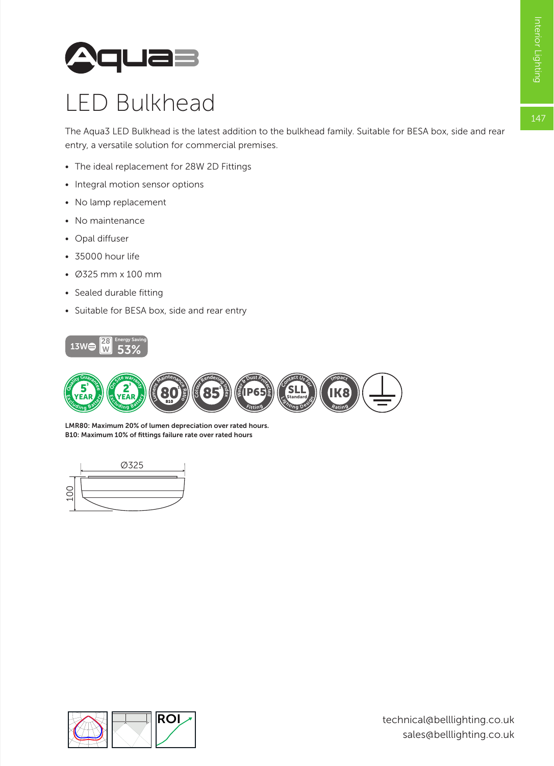

## LED Bulkhead

The Aqua3 LED Bulkhead is the latest addition to the bulkhead family. Suitable for BESA box, side and rear entry, a versatile solution for commercial premises.

- The ideal replacement for 28W 2D Fittings
- Integral motion sensor options
- No lamp replacement
- No maintenance
- Opal diffuser
- 35000 hour life
- Ø325 mm x 100 mm
- Sealed durable fitting
- Suitable for BESA box, side and rear entry





B10: Maximum 10% of fittings failure rate over rated hours LMR80: Maximum 20% of lumen depreciation over rated hours.



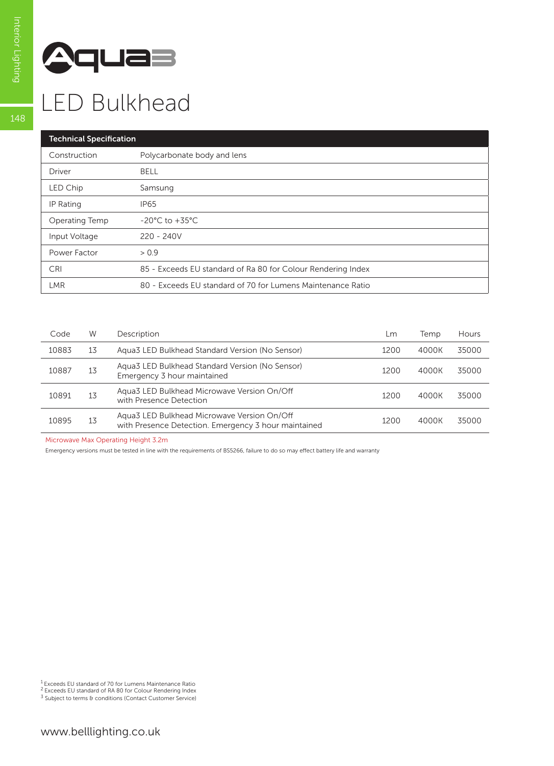

## LED Bulkhead

| <b>Technical Specification</b> |                                                              |  |  |  |
|--------------------------------|--------------------------------------------------------------|--|--|--|
| Construction                   | Polycarbonate body and lens                                  |  |  |  |
| Driver                         | <b>BELL</b>                                                  |  |  |  |
| LED Chip                       | Samsung                                                      |  |  |  |
| IP Rating                      | <b>IP65</b>                                                  |  |  |  |
| Operating Temp                 | $-20^{\circ}$ C to $+35^{\circ}$ C                           |  |  |  |
| Input Voltage                  | $220 - 240V$                                                 |  |  |  |
| Power Factor                   | > 0.9                                                        |  |  |  |
| <b>CRI</b>                     | 85 - Exceeds EU standard of Ra 80 for Colour Rendering Index |  |  |  |
| <b>LMR</b>                     | 80 - Exceeds EU standard of 70 for Lumens Maintenance Ratio  |  |  |  |

| Code  | W  | Description                                                                                         | $\mathsf{L}$ m | Temp  | Hours |
|-------|----|-----------------------------------------------------------------------------------------------------|----------------|-------|-------|
| 10883 | 13 | Agua3 LED Bulkhead Standard Version (No Sensor)                                                     | 1200           | 4000K | 35000 |
| 10887 | 13 | Aqua3 LED Bulkhead Standard Version (No Sensor)<br>Emergency 3 hour maintained                      | 1200           | 4000K | 35000 |
| 10891 | 13 | Agua3 LED Bulkhead Microwave Version On/Off<br>with Presence Detection                              | 1200           | 4000K | 35000 |
| 10895 | 13 | Agua3 LED Bulkhead Microwave Version On/Off<br>with Presence Detection. Emergency 3 hour maintained | 1200           | 4000K | 35000 |

Microwave Max Operating Height 3.2m

Emergency versions must be tested in line with the requirements of BS5266, failure to do so may effect battery life and warranty

<sup>1</sup> Exceeds EU standard of 70 for Lumens Maintenance Ratio<br><sup>2</sup> Exceeds EU standard of RA 80 for Colour Rendering Index<br><sup>3</sup> Subject to terms & conditions (Contact Customer Service)

148